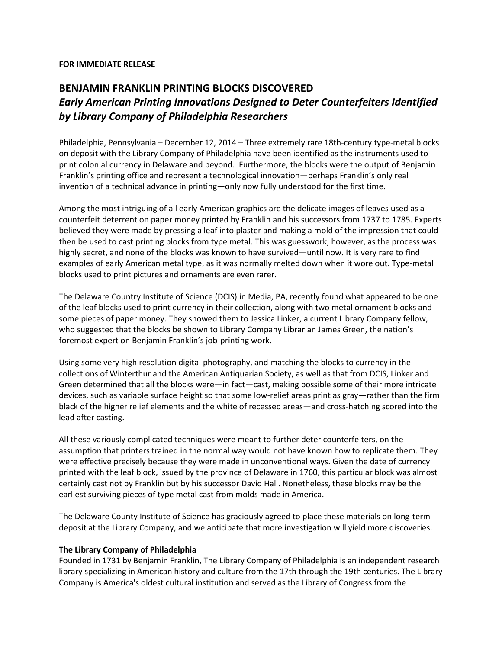#### **FOR IMMEDIATE RELEASE**

# **BENJAMIN FRANKLIN PRINTING BLOCKS DISCOVERED** *Early American Printing Innovations Designed to Deter Counterfeiters Identified by Library Company of Philadelphia Researchers*

Philadelphia, Pennsylvania – December 12, 2014 – Three extremely rare 18th-century type-metal blocks on deposit with the Library Company of Philadelphia have been identified as the instruments used to print colonial currency in Delaware and beyond. Furthermore, the blocks were the output of Benjamin Franklin's printing office and represent a technological innovation—perhaps Franklin's only real invention of a technical advance in printing—only now fully understood for the first time.

Among the most intriguing of all early American graphics are the delicate images of leaves used as a counterfeit deterrent on paper money printed by Franklin and his successors from 1737 to 1785. Experts believed they were made by pressing a leaf into plaster and making a mold of the impression that could then be used to cast printing blocks from type metal. This was guesswork, however, as the process was highly secret, and none of the blocks was known to have survived—until now. It is very rare to find examples of early American metal type, as it was normally melted down when it wore out. Type-metal blocks used to print pictures and ornaments are even rarer.

The Delaware Country Institute of Science (DCIS) in Media, PA, recently found what appeared to be one of the leaf blocks used to print currency in their collection, along with two metal ornament blocks and some pieces of paper money. They showed them to Jessica Linker, a current Library Company fellow, who suggested that the blocks be shown to Library Company Librarian James Green, the nation's foremost expert on Benjamin Franklin's job-printing work.

Using some very high resolution digital photography, and matching the blocks to currency in the collections of Winterthur and the American Antiquarian Society, as well as that from DCIS, Linker and Green determined that all the blocks were—in fact—cast, making possible some of their more intricate devices, such as variable surface height so that some low-relief areas print as gray—rather than the firm black of the higher relief elements and the white of recessed areas—and cross-hatching scored into the lead after casting.

All these variously complicated techniques were meant to further deter counterfeiters, on the assumption that printers trained in the normal way would not have known how to replicate them. They were effective precisely because they were made in unconventional ways. Given the date of currency printed with the leaf block, issued by the province of Delaware in 1760, this particular block was almost certainly cast not by Franklin but by his successor David Hall. Nonetheless, these blocks may be the earliest surviving pieces of type metal cast from molds made in America.

The Delaware County Institute of Science has graciously agreed to place these materials on long-term deposit at the Library Company, and we anticipate that more investigation will yield more discoveries.

### **The Library Company of Philadelphia**

Founded in 1731 by Benjamin Franklin, The Library Company of Philadelphia is an independent research library specializing in American history and culture from the 17th through the 19th centuries. The Library Company is America's oldest cultural institution and served as the Library of Congress from the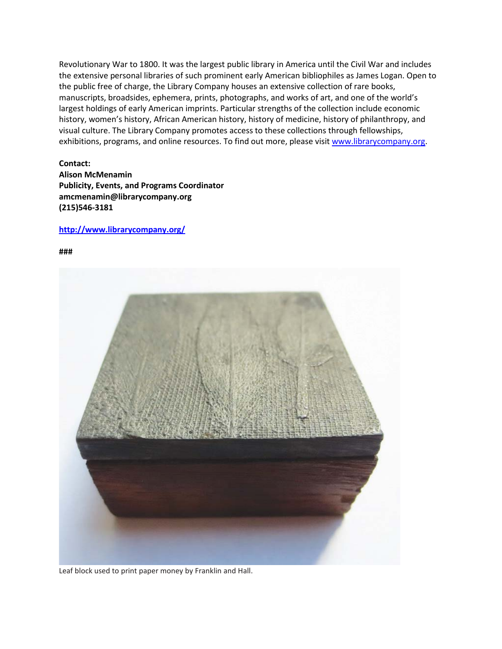Revolutionary War to 1800. It was the largest public library in America until the Civil War and includes the extensive personal libraries of such prominent early American bibliophiles as James Logan. Open to the public free of charge, the Library Company houses an extensive collection of rare books, manuscripts, broadsides, ephemera, prints, photographs, and works of art, and one of the world's largest holdings of early American imprints. Particular strengths of the collection include economic history, women's history, African American history, history of medicine, history of philanthropy, and visual culture. The Library Company promotes access to these collections through fellowships, exhibitions, programs, and online resources. To find out more, please visit [www.librarycompany.org.](http://www.librarycompany.org/)

## **Contact: Alison McMenamin Publicity, Events, and Programs Coordinator amcmenamin@librarycompany.org (215)546-3181**

#### **[http://www.librarycompany.org/](http://www.librarycompany.org/paah/)**

**###**



Leaf block used to print paper money by Franklin and Hall.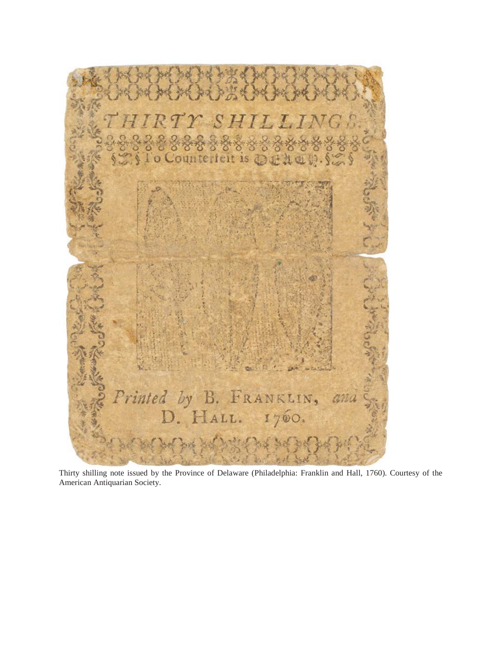

Thirty shilling note issued by the Province of Delaware (Philadelphia: Franklin and Hall, 1760). Courtesy of the American Antiquarian Society.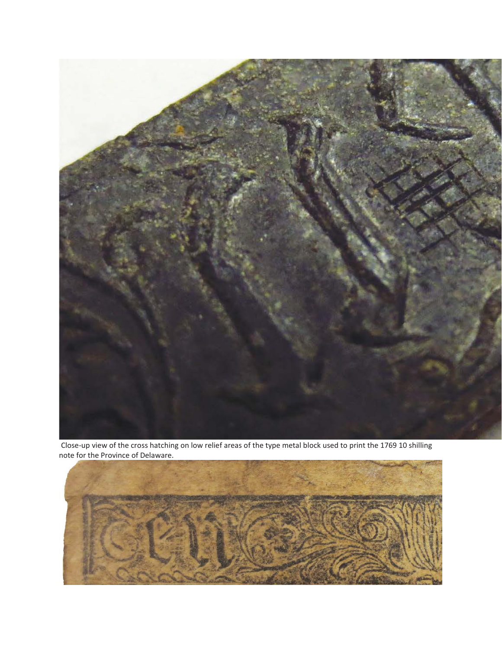

Close-up view of the cross hatching on low relief areas of the type metal block used to print the 1769 10 shilling note for the Province of Delaware.